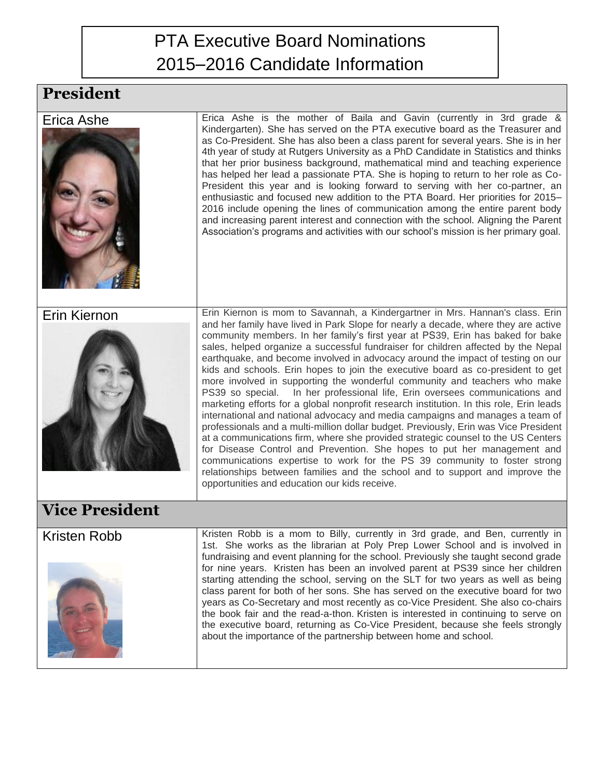## PTA Executive Board Nominations 2015–2016 Candidate Information

## **President**

| Erica Ashe            | Erica Ashe is the mother of Baila and Gavin (currently in 3rd grade &<br>Kindergarten). She has served on the PTA executive board as the Treasurer and<br>as Co-President. She has also been a class parent for several years. She is in her<br>4th year of study at Rutgers University as a PhD Candidate in Statistics and thinks<br>that her prior business background, mathematical mind and teaching experience<br>has helped her lead a passionate PTA. She is hoping to return to her role as Co-<br>President this year and is looking forward to serving with her co-partner, an<br>enthusiastic and focused new addition to the PTA Board. Her priorities for 2015-<br>2016 include opening the lines of communication among the entire parent body<br>and increasing parent interest and connection with the school. Aligning the Parent<br>Association's programs and activities with our school's mission is her primary goal.                                                                                                                                                                                                            |  |
|-----------------------|--------------------------------------------------------------------------------------------------------------------------------------------------------------------------------------------------------------------------------------------------------------------------------------------------------------------------------------------------------------------------------------------------------------------------------------------------------------------------------------------------------------------------------------------------------------------------------------------------------------------------------------------------------------------------------------------------------------------------------------------------------------------------------------------------------------------------------------------------------------------------------------------------------------------------------------------------------------------------------------------------------------------------------------------------------------------------------------------------------------------------------------------------------|--|
| Erin Kiernon          | Erin Kiernon is mom to Savannah, a Kindergartner in Mrs. Hannan's class. Erin<br>and her family have lived in Park Slope for nearly a decade, where they are active                                                                                                                                                                                                                                                                                                                                                                                                                                                                                                                                                                                                                                                                                                                                                                                                                                                                                                                                                                                    |  |
|                       | community members. In her family's first year at PS39, Erin has baked for bake<br>sales, helped organize a successful fundraiser for children affected by the Nepal<br>earthquake, and become involved in advocacy around the impact of testing on our<br>kids and schools. Erin hopes to join the executive board as co-president to get<br>more involved in supporting the wonderful community and teachers who make<br>PS39 so special. In her professional life, Erin oversees communications and<br>marketing efforts for a global nonprofit research institution. In this role, Erin leads<br>international and national advocacy and media campaigns and manages a team of<br>professionals and a multi-million dollar budget. Previously, Erin was Vice President<br>at a communications firm, where she provided strategic counsel to the US Centers<br>for Disease Control and Prevention. She hopes to put her management and<br>communications expertise to work for the PS 39 community to foster strong<br>relationships between families and the school and to support and improve the<br>opportunities and education our kids receive. |  |
| <b>Vice President</b> |                                                                                                                                                                                                                                                                                                                                                                                                                                                                                                                                                                                                                                                                                                                                                                                                                                                                                                                                                                                                                                                                                                                                                        |  |
| <b>Kristen Robb</b>   | Kristen Robb is a mom to Billy, currently in 3rd grade, and Ben, currently in<br>1st. She works as the librarian at Poly Prep Lower School and is involved in<br>fundraising and event planning for the school. Previously she taught second grade<br>for nine years. Kristen has been an involved parent at PS39 since her children<br>starting attending the school, serving on the SLT for two years as well as being<br>class parent for both of her sons. She has served on the executive board for two<br>years as Co-Secretary and most recently as co-Vice President. She also co-chairs<br>the book fair and the read-a-thon. Kristen is interested in continuing to serve on<br>the executive board, returning as Co-Vice President, because she feels strongly<br>about the importance of the partnership between home and school.                                                                                                                                                                                                                                                                                                          |  |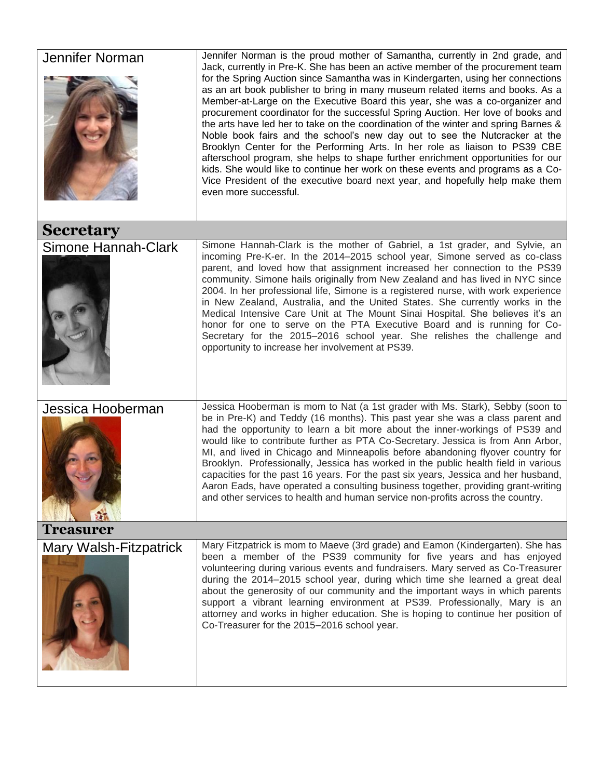| Jennifer Norman        | Jennifer Norman is the proud mother of Samantha, currently in 2nd grade, and<br>Jack, currently in Pre-K. She has been an active member of the procurement team<br>for the Spring Auction since Samantha was in Kindergarten, using her connections<br>as an art book publisher to bring in many museum related items and books. As a<br>Member-at-Large on the Executive Board this year, she was a co-organizer and<br>procurement coordinator for the successful Spring Auction. Her love of books and<br>the arts have led her to take on the coordination of the winter and spring Barnes &<br>Noble book fairs and the school's new day out to see the Nutcracker at the<br>Brooklyn Center for the Performing Arts. In her role as liaison to PS39 CBE<br>afterschool program, she helps to shape further enrichment opportunities for our<br>kids. She would like to continue her work on these events and programs as a Co-<br>Vice President of the executive board next year, and hopefully help make them<br>even more successful. |  |
|------------------------|------------------------------------------------------------------------------------------------------------------------------------------------------------------------------------------------------------------------------------------------------------------------------------------------------------------------------------------------------------------------------------------------------------------------------------------------------------------------------------------------------------------------------------------------------------------------------------------------------------------------------------------------------------------------------------------------------------------------------------------------------------------------------------------------------------------------------------------------------------------------------------------------------------------------------------------------------------------------------------------------------------------------------------------------|--|
| <b>Secretary</b>       |                                                                                                                                                                                                                                                                                                                                                                                                                                                                                                                                                                                                                                                                                                                                                                                                                                                                                                                                                                                                                                                |  |
| Simone Hannah-Clark    | Simone Hannah-Clark is the mother of Gabriel, a 1st grader, and Sylvie, an<br>incoming Pre-K-er. In the 2014-2015 school year, Simone served as co-class<br>parent, and loved how that assignment increased her connection to the PS39<br>community. Simone hails originally from New Zealand and has lived in NYC since<br>2004. In her professional life, Simone is a registered nurse, with work experience<br>in New Zealand, Australia, and the United States. She currently works in the<br>Medical Intensive Care Unit at The Mount Sinai Hospital. She believes it's an<br>honor for one to serve on the PTA Executive Board and is running for Co-<br>Secretary for the 2015-2016 school year. She relishes the challenge and<br>opportunity to increase her involvement at PS39.                                                                                                                                                                                                                                                     |  |
| Jessica Hooberman      | Jessica Hooberman is mom to Nat (a 1st grader with Ms. Stark), Sebby (soon to<br>be in Pre-K) and Teddy (16 months). This past year she was a class parent and<br>had the opportunity to learn a bit more about the inner-workings of PS39 and<br>would like to contribute further as PTA Co-Secretary. Jessica is from Ann Arbor,<br>MI, and lived in Chicago and Minneapolis before abandoning flyover country for<br>Brooklyn. Professionally, Jessica has worked in the public health field in various<br>capacities for the past 16 years. For the past six years, Jessica and her husband,<br>Aaron Eads, have operated a consulting business together, providing grant-writing<br>and other services to health and human service non-profits across the country.                                                                                                                                                                                                                                                                        |  |
| <b>Treasurer</b>       |                                                                                                                                                                                                                                                                                                                                                                                                                                                                                                                                                                                                                                                                                                                                                                                                                                                                                                                                                                                                                                                |  |
| Mary Walsh-Fitzpatrick | Mary Fitzpatrick is mom to Maeve (3rd grade) and Eamon (Kindergarten). She has<br>been a member of the PS39 community for five years and has enjoyed<br>volunteering during various events and fundraisers. Mary served as Co-Treasurer<br>during the 2014-2015 school year, during which time she learned a great deal<br>about the generosity of our community and the important ways in which parents<br>support a vibrant learning environment at PS39. Professionally, Mary is an<br>attorney and works in higher education. She is hoping to continue her position of<br>Co-Treasurer for the 2015-2016 school year.                                                                                                                                                                                                                                                                                                                                                                                                                     |  |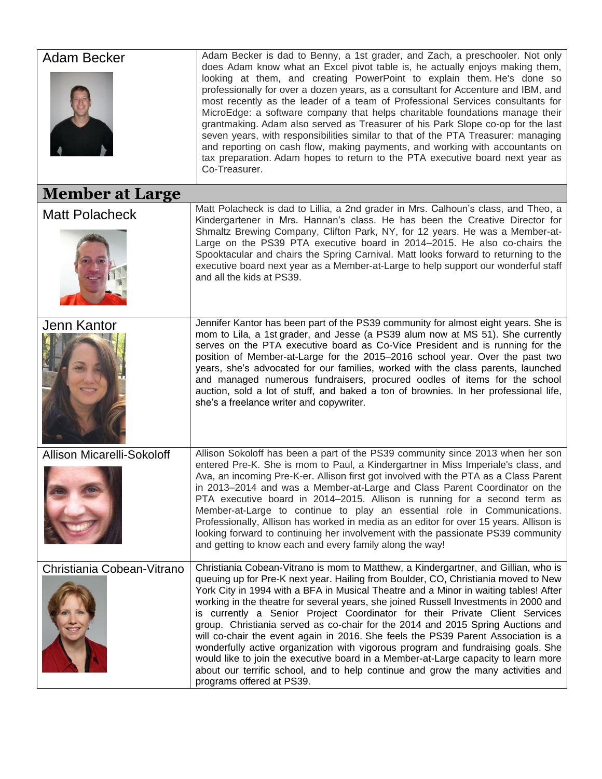| Adam Becker                       | Adam Becker is dad to Benny, a 1st grader, and Zach, a preschooler. Not only<br>does Adam know what an Excel pivot table is, he actually enjoys making them,<br>looking at them, and creating PowerPoint to explain them. He's done so<br>professionally for over a dozen years, as a consultant for Accenture and IBM, and<br>most recently as the leader of a team of Professional Services consultants for<br>MicroEdge: a software company that helps charitable foundations manage their<br>grantmaking. Adam also served as Treasurer of his Park Slope co-op for the last<br>seven years, with responsibilities similar to that of the PTA Treasurer: managing<br>and reporting on cash flow, making payments, and working with accountants on<br>tax preparation. Adam hopes to return to the PTA executive board next year as<br>Co-Treasurer.                                                    |
|-----------------------------------|------------------------------------------------------------------------------------------------------------------------------------------------------------------------------------------------------------------------------------------------------------------------------------------------------------------------------------------------------------------------------------------------------------------------------------------------------------------------------------------------------------------------------------------------------------------------------------------------------------------------------------------------------------------------------------------------------------------------------------------------------------------------------------------------------------------------------------------------------------------------------------------------------------|
| <b>Member at Large</b>            |                                                                                                                                                                                                                                                                                                                                                                                                                                                                                                                                                                                                                                                                                                                                                                                                                                                                                                            |
| <b>Matt Polacheck</b>             | Matt Polacheck is dad to Lillia, a 2nd grader in Mrs. Calhoun's class, and Theo, a<br>Kindergartener in Mrs. Hannan's class. He has been the Creative Director for<br>Shmaltz Brewing Company, Clifton Park, NY, for 12 years. He was a Member-at-<br>Large on the PS39 PTA executive board in 2014–2015. He also co-chairs the<br>Spooktacular and chairs the Spring Carnival. Matt looks forward to returning to the<br>executive board next year as a Member-at-Large to help support our wonderful staff<br>and all the kids at PS39.                                                                                                                                                                                                                                                                                                                                                                  |
| Jenn Kantor                       | Jennifer Kantor has been part of the PS39 community for almost eight years. She is<br>mom to Lila, a 1st grader, and Jesse (a PS39 alum now at MS 51). She currently<br>serves on the PTA executive board as Co-Vice President and is running for the<br>position of Member-at-Large for the 2015–2016 school year. Over the past two<br>years, she's advocated for our families, worked with the class parents, launched<br>and managed numerous fundraisers, procured oodles of items for the school<br>auction, sold a lot of stuff, and baked a ton of brownies. In her professional life,<br>she's a freelance writer and copywriter.                                                                                                                                                                                                                                                                 |
| <b>Allison Micarelli-Sokoloff</b> | Allison Sokoloff has been a part of the PS39 community since 2013 when her son<br>entered Pre-K. She is mom to Paul, a Kindergartner in Miss Imperiale's class, and<br>Ava, an incoming Pre-K-er. Allison first got involved with the PTA as a Class Parent<br>in 2013-2014 and was a Member-at-Large and Class Parent Coordinator on the<br>PTA executive board in 2014–2015. Allison is running for a second term as<br>Member-at-Large to continue to play an essential role in Communications.<br>Professionally, Allison has worked in media as an editor for over 15 years. Allison is<br>looking forward to continuing her involvement with the passionate PS39 community<br>and getting to know each and every family along the way!                                                                                                                                                               |
| Christiania Cobean-Vitrano        | Christiania Cobean-Vitrano is mom to Matthew, a Kindergartner, and Gillian, who is<br>queuing up for Pre-K next year. Hailing from Boulder, CO, Christiania moved to New<br>York City in 1994 with a BFA in Musical Theatre and a Minor in waiting tables! After<br>working in the theatre for several years, she joined Russell Investments in 2000 and<br>is currently a Senior Project Coordinator for their Private Client Services<br>group. Christiania served as co-chair for the 2014 and 2015 Spring Auctions and<br>will co-chair the event again in 2016. She feels the PS39 Parent Association is a<br>wonderfully active organization with vigorous program and fundraising goals. She<br>would like to join the executive board in a Member-at-Large capacity to learn more<br>about our terrific school, and to help continue and grow the many activities and<br>programs offered at PS39. |